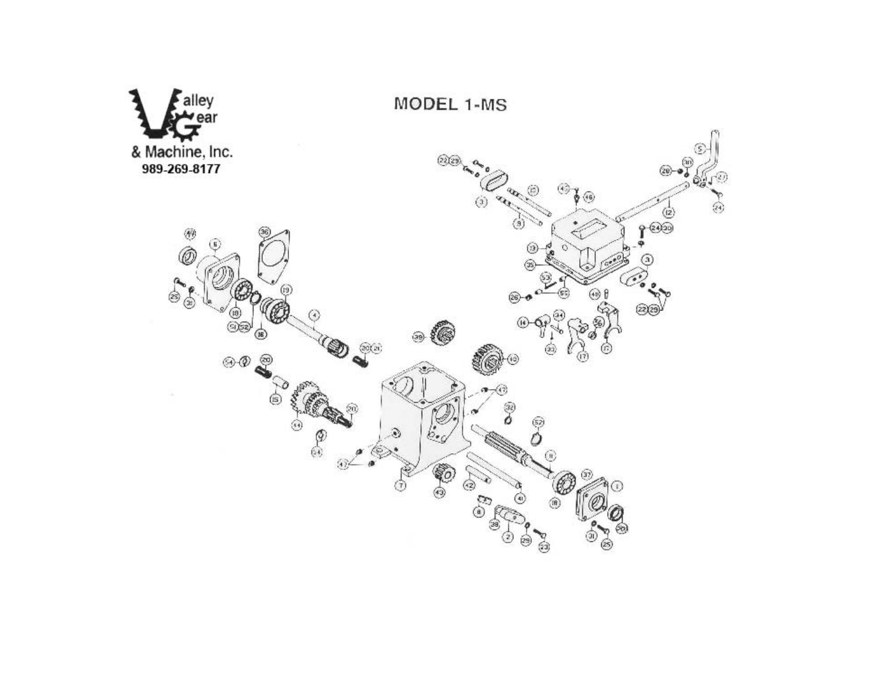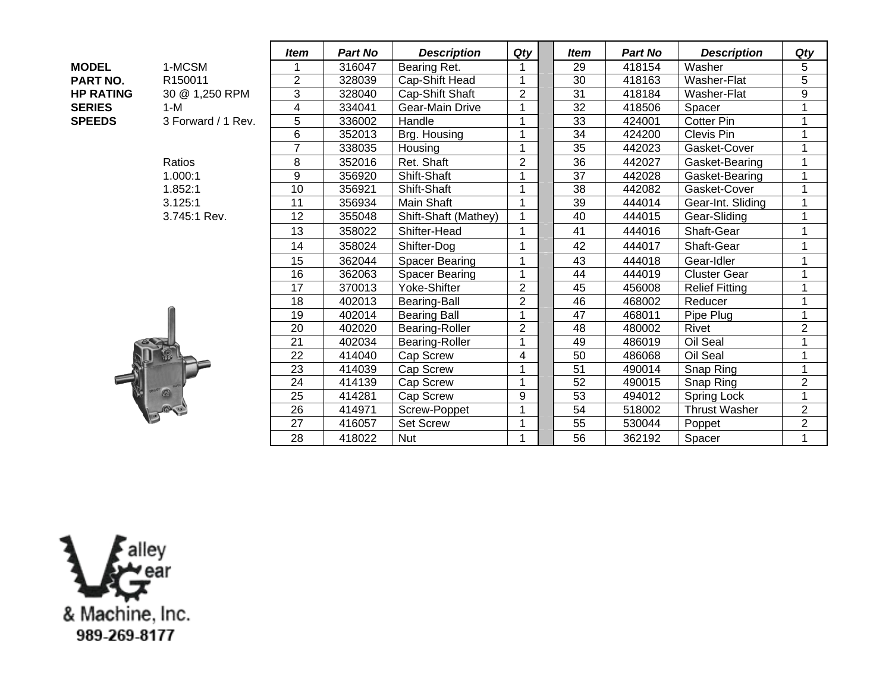|                  |                    | <i>Item</i>    | <b>Part No</b> | <b>Description</b>    | Qty                     |  | <b>Item</b>     | <b>Part No</b> | <b>Description</b>    | Qty            |
|------------------|--------------------|----------------|----------------|-----------------------|-------------------------|--|-----------------|----------------|-----------------------|----------------|
| <b>MODEL</b>     | 1-MCSM             |                | 316047         | Bearing Ret.          |                         |  | 29              | 418154         | Washer                | 5              |
| <b>PART NO.</b>  | R150011            | $\overline{2}$ | 328039         | Cap-Shift Head        |                         |  | $\overline{30}$ | 418163         | Washer-Flat           | $\overline{5}$ |
| <b>HP RATING</b> | 30 @ 1,250 RPM     | 3              | 328040         | Cap-Shift Shaft       | $\overline{2}$          |  | $\overline{31}$ | 418184         | Washer-Flat           | $\overline{9}$ |
| <b>SERIES</b>    | $1-M$              | 4              | 334041         | Gear-Main Drive       |                         |  | 32              | 418506         | Spacer                |                |
| <b>SPEEDS</b>    | 3 Forward / 1 Rev. | 5              | 336002         | Handle                | $\overline{\mathbf{A}}$ |  | 33              | 424001         | <b>Cotter Pin</b>     | 1              |
|                  |                    | 6              | 352013         | Brg. Housing          |                         |  | $\overline{34}$ | 424200         | Clevis Pin            |                |
|                  |                    | $\overline{7}$ | 338035         | Housing               | 1                       |  | $\overline{35}$ | 442023         | Gasket-Cover          | 1              |
|                  | Ratios             | 8              | 352016         | Ret. Shaft            | $\overline{2}$          |  | 36              | 442027         | Gasket-Bearing        | 1              |
|                  | 1.000:1            | 9              | 356920         | Shift-Shaft           |                         |  | 37              | 442028         | Gasket-Bearing        |                |
|                  | 1.852:1            | 10             | 356921         | Shift-Shaft           |                         |  | 38              | 442082         | Gasket-Cover          | 1              |
|                  | 3.125:1            | 11             | 356934         | Main Shaft            |                         |  | 39              | 444014         | Gear-Int. Sliding     | 1              |
|                  | 3.745:1 Rev.       | 12             | 355048         | Shift-Shaft (Mathey)  |                         |  | 40              | 444015         | Gear-Sliding          | 1              |
|                  |                    | 13             | 358022         | Shifter-Head          |                         |  | 41              | 444016         | Shaft-Gear            |                |
|                  |                    | 14             | 358024         | Shifter-Dog           | 1                       |  | 42              | 444017         | Shaft-Gear            | 1              |
|                  |                    | 15             | 362044         | Spacer Bearing        |                         |  | 43              | 444018         | Gear-Idler            | 1              |
|                  |                    | 16             | 362063         | <b>Spacer Bearing</b> | 1                       |  | 44              | 444019         | <b>Cluster Gear</b>   |                |
|                  |                    | 17             | 370013         | Yoke-Shifter          | $\overline{c}$          |  | 45              | 456008         | <b>Relief Fitting</b> | 1              |
|                  |                    | 18             | 402013         | <b>Bearing-Ball</b>   | $\overline{2}$          |  | 46              | 468002         | Reducer               | $\overline{1}$ |
|                  |                    | 19             | 402014         | <b>Bearing Ball</b>   | $\overline{A}$          |  | 47              | 468011         | Pipe Plug             | 1              |
|                  |                    | 20             | 402020         | <b>Bearing-Roller</b> | $\overline{2}$          |  | 48              | 480002         | <b>Rivet</b>          | $\overline{c}$ |
|                  |                    | 21             | 402034         | <b>Bearing-Roller</b> | 1                       |  | 49              | 486019         | Oil Seal              | $\mathbf{1}$   |
|                  |                    | 22             | 414040         | Cap Screw             | 4                       |  | 50              | 486068         | Oil Seal              | 1              |
|                  |                    | 23             | 414039         | Cap Screw             | 1                       |  | 51              | 490014         | Snap Ring             | $\mathbf{1}$   |
|                  |                    | 24             | 414139         | Cap Screw             | 1                       |  | 52              | 490015         | Snap Ring             | $\overline{2}$ |
|                  |                    | 25             | 414281         | Cap Screw             | 9                       |  | $\overline{53}$ | 494012         | Spring Lock           | $\mathbf{1}$   |
|                  |                    | 26             | 414971         | Screw-Poppet          | 1                       |  | 54              | 518002         | <b>Thrust Washer</b>  | $\overline{2}$ |
|                  |                    | 27             | 416057         | <b>Set Screw</b>      | 1                       |  | 55              | 530044         | Poppet                | $\overline{c}$ |
|                  |                    | 28             | 418022         | <b>Nut</b>            | 1                       |  | 56              | 362192         | Spacer                | 1              |